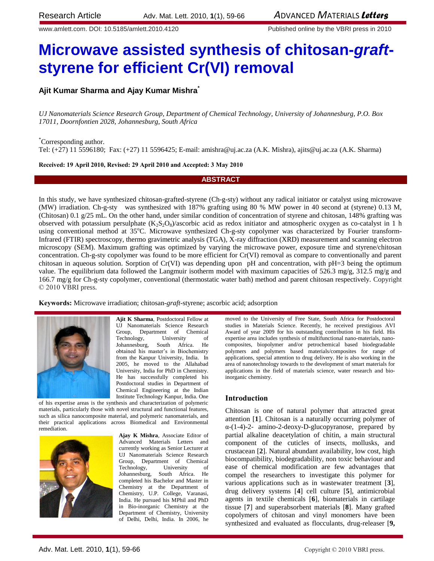www.amlett.com. DOI: 10.5185/amlett.2010.4120 Published online by the VBRI press in 2010

# **Microwave assisted synthesis of chitosan-***graft***styrene for efficient Cr(VI) removal**

# **Ajit Kumar Sharma and Ajay Kumar Mishra\***

*UJ Nanomaterials Science Research Group, Department of Chemical Technology, University of Johannesburg, P.O. Box 17011, Doornfontien 2028, Johannesburg, South Africa*

\*Corresponding author.

Tel: (+27) 11 5596180; Fax: (+27) 11 5596425; E-mail[: amishra@uj.ac.za](mailto:amishra@uj.ac.za) (A.K. Mishra), [ajits@uj.ac.za](mailto:ajits@uj.ac.za) (A.K. Sharma)

**Received: 19 April 2010, Revised: 29 April 2010 and Accepted: 3 May 2010**

## **ABSTRACT**

In this study, we have synthesized chitosan-grafted-styrene (Ch-g-sty) without any radical initiator or catalyst using microwave (MW) irradiation. Ch-g-sty was synthesized with 187% grafting using 80 % MW power in 40 second at (styrene) 0.13 M, (Chitosan) 0.1 g/25 mL. On the other hand, under similar condition of concentration of styrene and chitosan, 148% grafting was observed with potassium persulphate  $(K_2S_2O_8)/$ ascorbic acid as redox initiator and atmospheric oxygen as co-catalyst in 1 h using conventional method at 35<sup>o</sup>C. Microwave synthesized Ch-g-sty copolymer was characterized by Fourier transform-Infrared (FTIR) spectroscopy, thermo gravimetric analysis (TGA), X-ray diffraction (XRD) measurement and scanning electron microscopy (SEM). Maximum grafting was optimized by varying the microwave power, exposure time and styrene/chitosan concentration. Ch-g-sty copolymer was found to be more efficient for Cr(VI) removal as compare to conventionally and parent chitosan in aqueous solution. Sorption of  $Cr(VI)$  was depending upon pH and concentration, with  $pH=3$  being the optimum value. The equilibrium data followed the Langmuir isotherm model with maximum capacities of 526.3 mg/g, 312.5 mg/g and 166.7 mg/g for Ch-g-sty copolymer, conventional (thermostatic water bath) method and parent chitosan respectively. Copyright © 2010 VBRI press.

**Keywords:** Microwave irradiation; chitosan-*graft*-styrene; ascorbic acid; adsorption



**Ajit K Sharma**, Postdoctoral Fellow at UJ Nanomaterials Science Research Group, Department of Chemical Technology, University of Johannesburg, South Africa. He obtained his master's in Biochemistry from the Kanpur University, India. In 2005, he moved to the Allahabad University, India for PhD in Chemistry. He has successfully completed his Postdoctoral studies in Department of Chemical Engineering at the Indian Institute Technology Kanpur, India. One

of his expertise areas is the synthesis and characterization of polymeric materials, particularly those with novel structural and functional features, such as silica nanocomposite material, and polymeric nanomaterials, and their practical applications across Biomedical and Environmental remediation.



**Ajay K Mishra**, Associate Editor of Advanced Materials Letters and currently working as Senior Lecturer at UJ Nanomaterials Science Research Group, Department of Chemical Technology, University of Johannesburg, South Africa. He completed his Bachelor and Master in Chemistry at the Department of Chemistry, U.P. College, Varanasi, India. He pursued his MPhil and PhD in Bio-inorganic Chemistry at the Department of Chemistry, University of Delhi, Delhi, India. In 2006, he

moved to the University of Free State, South Africa for Postdoctoral studies in Materials Science. Recently, he received prestigious AVI Award of year 2009 for his outstanding contribution in his field. His expertise area includes synthesis of multifunctional nano-materials, nanocomposites, biopolymer and/or petrochemical based biodegradable polymers and polymers based materials/composites for range of applications, special attention to drug delivery. He is also working in the area of nanotechnology towards to the development of smart materials for applications in the field of materials science, water research and bioinorganic chemistry.

## **Introduction**

Chitosan is one of natural polymer that attracted great attention [**1**]. Chitosan is a naturally occurring polymer of α-(1-4)-2- amino-2-deoxy-D-glucopyranose, prepared by partial alkaline deacetylation of chitin, a main structural component of the cuticles of insects, mollusks, and crustacean [**2**]. Natural abundant availability, low cost, high biocompatibility, biodegradability, non toxic behaviour and ease of chemical modification are few advantages that compel the researchers to investigate this polymer for various applications such as in wastewater treatment [**3**], drug delivery systems [**4**] cell culture [**5**], antimicrobial agents in textile chemicals [**6**], biomaterials in cartilage tissue [**7**] and superabsorbent materials [**8**]. Many grafted copolymers of chitosan and vinyl monomers have been synthesized and evaluated as flocculants, drug-releaser [**9,**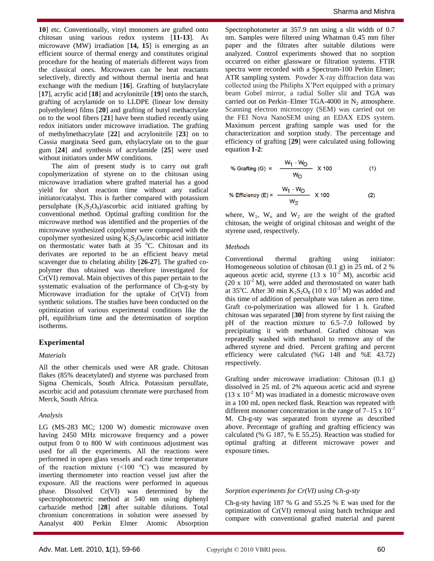**10**] etc. Conventionally, vinyl monomers are grafted onto chitosan using various redox systems [**11-13**]. As microwave (MW) irradiation [**14, 15**] is emerging as an efficient source of thermal energy and constitutes original procedure for the heating of materials different ways from the classical ones. Microwaves can be heat reactants selectively, directly and without thermal inertia and heat exchange with the medium [**16**]. Grafting of butylacrylate [**17**], acrylic acid [**18**] and acrylonitrile [**19**] onto the starch, grafting of acrylamide on to LLDPE (linear low density polyethylene) films [**20**] and grafting of butyl methacrylate on to the wool fibers [**21**] have been studied recently using redox initiators under microwave irradiation. The grafting of methylmethacrylate [**22**] and acrylonitrile [**23**] on to Cassia marginata Seed gum, ethylacrylate on to the guar gum [**24**] and synthesis of acrylamide [**25**] were used without initiators under MW conditions.

The aim of present study is to carry out graft copolymerization of styrene on to the chitosan using microwave irradiation where grafted material has a good yield for short reaction time without any radical initiator/catalyst. This is further compared with potassium persulphate  $(K_2S_2O_8)/$ ascorbic acid initiated grafting by conventional method. Optimal grafting condition for the microwave method was identified and the properties of the microwave synthesized copolymer were compared with the copolymer synthesized using  $K_2S_2O_8/a$ scorbic acid initiator on thermostatic water bath at 35 °C. Chitosan and its derivates are reported to be an efficient heavy metal scavenger due to chelating ability [**26-27**]. The grafted copolymer thus obtained was therefore investigated for Cr(VI) removal. Main objectives of this paper pertain to the systematic evaluation of the performance of Ch-g-sty by Microwave irradiation for the uptake of Cr(VI) from synthetic solutions. The studies have been conducted on the optimization of various experimental conditions like the pH, equilibrium time and the determination of sorption isotherms.

# **Experimental**

## *Materials*

All the other chemicals used were AR grade. Chitosan flakes (85% deacetylated) and styrene was purchased from Sigma Chemicals, South Africa. Potassium persulfate, ascorbic acid and potassium chromate were purchased from Merck, South Africa.

## *Analysis*

LG (MS-283 MC; 1200 W) domestic microwave oven having 2450 MHz microwave frequency and a power output from 0 to 800 W with continuous adjustment was used for all the experiments. All the reactions were performed in open glass vessels and each time temperature of the reaction mixture  $(\leq 100 \degree C)$  was measured by inserting thermometer into reaction vessel just after the exposure. All the reactions were performed in aqueous phase. Dissolved Cr(VI) was determined by the spectrophotometric method at 540 nm using diphenyl carbazide method [**28**] after suitable dilutions. Total chromium concentrations in solution were assessed by Aanalyst 400 Perkin Elmer Atomic Absorption

Spectrophotometer at 357.9 nm using a slit width of 0.7 nm. Samples were filtered using Whatman 0.45 mm filter paper and the filtrates after suitable dilutions were analyzed. Control experiments showed that no sorption occurred on either glassware or filtration systems. FTIR spectra were recorded with a Spectrum-100 Perkin Elmer; ATR sampling system. Powder X-ray diffraction data was collected using the Philiphs X'Pert equipped with a primary beam Gobel mirror, a radial Soller slit and TGA was carried out on Perkin–Elmer TGA-4000 in  $N_2$  atmosphere. Scanning electron microscopy (SEM) was carried out on the FEI Nova NanoSEM using an EDAX EDS system. Maximum percent grafting sample was used for the characterization and sorption study. The percentage and efficiency of grafting [**29**] were calculated using following equation **1-2**:

% Grating (G) = 
$$
\frac{W_1 - W_O}{W_O}
$$
 x 100 (1)

% Efficiency (E) = 
$$
\frac{W_1 - W_0}{W_2} = \frac{W_1 - W_0}{W_2}
$$
 x 100 (2)

where,  $W_1$ ,  $W_0$  and  $W_2$  are the weight of the grafted chitosan, the weight of original chitosan and weight of the styrene used, respectively.

#### *Methods*

Conventional thermal grafting using initiator: Homogeneous solution of chitosan (0.1 g) in 25 mL of 2 % aqueous acetic acid, styrene  $(13 \times 10^{-2} \text{ M})$ , ascorbic acid  $(20 \times 10^{-2} \text{ M})$ , were added and thermostated on water bath at 35°C. After 30 min  $K_2S_2O_8$  (10 x 10<sup>-3</sup> M) was added and this time of addition of persulphate was taken as zero time. Graft co-polymerization was allowed for 1 h. Grafted chitosan was separated [**30**] from styrene by first raising the pH of the reaction mixture to 6.5–7.0 followed by precipitating it with methanol. Grafted chitosan was repeatedly washed with methanol to remove any of the adhered styrene and dried. Percent grafting and percent efficiency were calculated (%G 148 and %E 43.72) respectively.

Grafting under microwave irradiation: Chitosan (0.1 g) dissolved in 25 mL of 2% aqueous acetic acid and styrene  $(13 \times 10^{-2} \text{ M})$  was irradiated in a domestic microwave oven in a 100 mL open necked flask. Reaction was repeated with different monomer concentration in the range of  $7-15 \times 10^{-2}$ M. Ch-g-sty was separated from styrene as described above. Percentage of grafting and grafting efficiency was calculated (% G 187, % E 55.25). Reaction was studied for optimal grafting at different microwave power and exposure times.

## *Sorption experiments for Cr(VI) using Ch-g-sty*

Ch-g-sty having 187 % G and 55.25 % E was used for the optimization of Cr(VI) removal using batch technique and compare with conventional grafted material and parent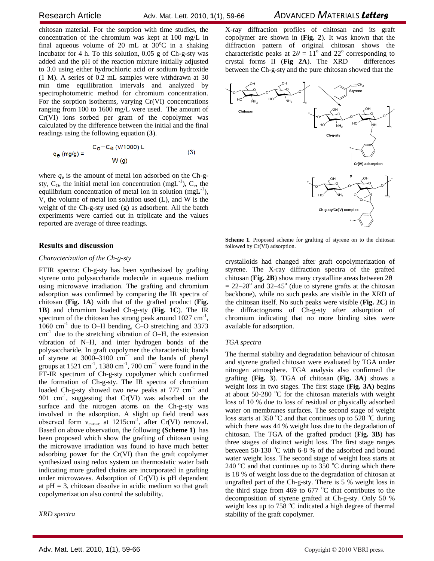chitosan material. For the sorption with time studies, the concentration of the chromium was kept at 100 mg/L in final aqueous volume of 20 mL at  $30^{\circ}$ C in a shaking incubator for 4 h. To this solution, 0.05 g of Ch-g-sty was added and the pH of the reaction mixture initially adjusted to 3.0 using either hydrochloric acid or sodium hydroxide (1 M). A series of 0.2 mL samples were withdrawn at 30 min time equilibration intervals and analyzed by spectrophotometric method for chromium concentration. For the sorption isotherms, varying Cr(VI) concentrations ranging from 100 to 1600 mg/L were used. The amount of Cr(VI) ions sorbed per gram of the copolymer was calculated by the difference between the initial and the final readings using the following equation (**3**).

$$
q_{e (mg/g)} = \frac{C_{o} - C_{e (V/1000) L}}{W (g)}
$$
 (3)

where  $q_e$  is the amount of metal ion adsorbed on the Ch-gsty,  $C_0$ , the initial metal ion concentration (mgL<sup>-1</sup>),  $C_e$ , the equilibrium concentration of metal ion in solution  $(mgL^{-1})$ , V, the volume of metal ion solution used (L), and W is the weight of the Ch-g-sty used (g) as adsorbent. All the batch experiments were carried out in triplicate and the values reported are average of three readings.

# **Results and discussion**

## *Characterization of the Ch-g-sty*

FTIR spectra: Ch-g-sty has been synthesized by grafting styrene onto polysaccharide molecule in aqueous medium using microwave irradiation. The grafting and chromium adsorption was confirmed by comparing the IR spectra of chitosan (**Fig. 1A**) with that of the grafted product (**Fig. 1B**) and chromium loaded Ch-g-sty (**Fig. 1C**). The IR spectrum of the chitosan has strong peak around  $1027 \text{ cm}^{-1}$ ,  $1060 \text{ cm}^{-1}$  due to O–H bending, C–O stretching and 3373  $cm<sup>-1</sup>$  due to the stretching vibration of O–H, the extension vibration of N–H, and inter hydrogen bonds of the polysaccharide. In graft copolymer the characteristic bands of styrene at  $3000-3100$  cm<sup>-1</sup> and the bands of phenyl groups at 1521 cm<sup>-1</sup>, 1380 cm<sup>-1</sup>, 700 cm<sup>-1</sup> were found in the FT-IR spectrum of Ch-g-sty copolymer which confirmed the formation of Ch-g-sty. The IR spectra of chromium loaded Ch-g-sty showed two new peaks at 777 cm<sup>-1</sup> and 901 cm<sup>-1</sup>, suggesting that  $Cr(VI)$  was adsorbed on the surface and the nitrogen atoms on the Ch-g-sty was involved in the adsorption. A slight up field trend was observed form  $v_{c=0-c}$  at 1215cm<sup>-1</sup>, after Cr(VI) removal. Based on above observation, the following **(Scheme 1)** has been proposed which show the grafting of chitosan using the microwave irradiation was found to have much better adsorbing power for the Cr(VI) than the graft copolymer synthesized using redox system on thermostatic water bath indicating more grafted chains are incorporated in grafting under microwaves. Adsorption of Cr(VI) is pH dependent at  $pH = 3$ , chitosan dissolve in acidic medium so that graft copolymerization also control the solubility.

*XRD spectra*

X-ray diffraction profiles of chitosan and its graft copolymer are shown in (**Fig. 2**). It was known that the diffraction pattern of original chitosan shows the characteristic peaks at  $2\theta = 11^{\circ}$  and  $22^{\circ}$  corresponding to crystal forms II (**Fig 2A**). The XRD differences between the Ch-g-sty and the pure chitosan showed that the



**Scheme 1**. Proposed scheme for grafting of styrene on to the chitosan followed by Cr(VI) adsorption.

crystalloids had changed after graft copolymerization of styrene. The X-ray diffraction spectra of the grafted chitosan (**Fig. 2B**) show many crystalline areas between  $2\theta$  $= 22 - 28$ <sup>o</sup> and 32–45<sup>o</sup> (due to styrene grafts at the chitosan backbone), while no such peaks are visible in the XRD of the chitosan itself. No such peaks were visible (**Fig. 2C**) in the diffractograms of Ch-g-sty after adsorption of chromium indicating that no more binding sites were available for adsorption.

#### *TGA spectra*

The thermal stability and degradation behaviour of chitosan and styrene grafted chitosan were evaluated by TGA under nitrogen atmosphere. TGA analysis also confirmed the grafting (**Fig. 3**). TGA of chitosan (**Fig. 3A**) shows a weight loss in two stages. The first stage (**Fig. 3A**) begins at about  $50-280$  °C for the chitosan materials with weight loss of 10 % due to loss of residual or physically adsorbed water on membranes surfaces. The second stage of weight loss starts at 350  $\degree$ C and that continues up to 528  $\degree$ C during which there was 44 % weight loss due to the degradation of chitosan. The TGA of the grafted product (**Fig. 3B**) has three stages of distinct weight loss. The first stage ranges between 50-130  $\degree$ C with 6-8 % of the adsorbed and bound water weight loss. The second stage of weight loss starts at 240  $^{\circ}$ C and that continues up to 350  $^{\circ}$ C during which there is 18 % of weight loss due to the degradation of chitosan at ungrafted part of the Ch-g-sty. There is 5 % weight loss in the third stage from 469 to 677  $\mathrm{^{\circ}C}$  that contributes to the decomposition of styrene grafted at Ch-g-sty. Only 50 % weight loss up to  $758 \degree C$  indicated a high degree of thermal stability of the graft copolymer.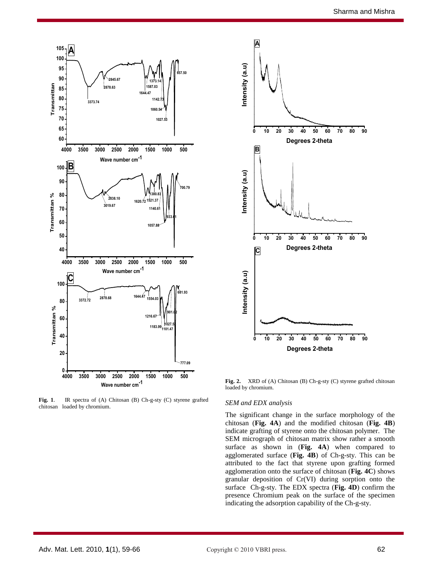

**Fig. 1**. IR spectra of (A) Chitosan (B) Ch-g-sty (C) styrene grafted chitosan loaded by chromium.



**Fig. 2.** XRD of (A) Chitosan (B) Ch-g-sty (C) styrene grafted chitosan loaded by chromium.

#### *SEM and EDX analysis*

The significant change in the surface morphology of the chitosan (**Fig. 4A**) and the modified chitosan (**Fig. 4B**) indicate grafting of styrene onto the chitosan polymer. The SEM micrograph of chitosan matrix show rather a smooth surface as shown in (**Fig. 4A**) when compared to agglomerated surface (**Fig. 4B**) of Ch-g-sty. This can be attributed to the fact that styrene upon grafting formed agglomeration onto the surface of chitosan (**Fig. 4C**) shows granular deposition of Cr(VI) during sorption onto the surface Ch-g-sty. The EDX spectra (**Fig. 4D**) confirm the presence Chromium peak on the surface of the specimen indicating the adsorption capability of the Ch-g-sty.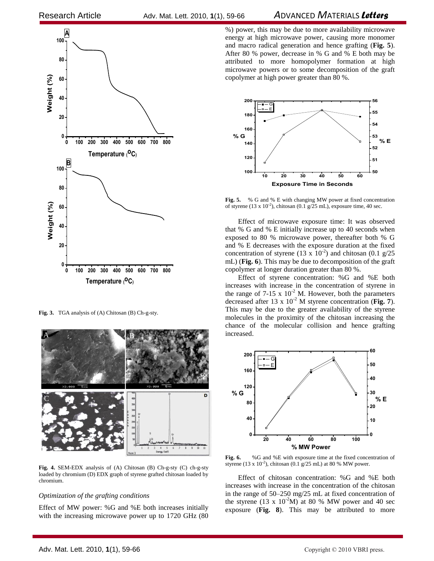

**Fig. 3.** TGA analysis of (A) Chitosan (B) Ch-g-sty.



**Fig. 4.** SEM-EDX analysis of (A) Chitosan (B) Ch-g-sty (C) ch-g-sty loaded by chromium (D) EDX graph of styrene grafted chitosan loaded by chromium.

#### *Optimization of the grafting conditions*

Effect of MW power: %G and %E both increases initially with the increasing microwave power up to 1720 GHz (80

%) power, this may be due to more availability microwave energy at high microwave power, causing more monomer and macro radical generation and hence grafting (**Fig. 5**). After 80 % power, decrease in % G and % E both may be attributed to more homopolymer formation at high microwave powers or to some decomposition of the graft copolymer at high power greater than 80 %.



**Fig. 5.** % G and % E with changing MW power at fixed concentration of styrene (13 x  $10^{-2}$ ), chitosan (0.1 g/25 mL), exposure time, 40 sec.

Effect of microwave exposure time: It was observed that % G and % E initially increase up to 40 seconds when exposed to 80 % microwave power, thereafter both % G and % E decreases with the exposure duration at the fixed concentration of styrene (13 x  $10^{-2}$ ) and chitosan (0.1 g/25 mL) (**Fig. 6**). This may be due to decomposition of the graft copolymer at longer duration greater than 80 %.

Effect of styrene concentration: %G and %E both increases with increase in the concentration of styrene in the range of  $7-15 \times 10^{-2}$  M. However, both the parameters decreased after 13 x 10<sup>-2</sup> M styrene concentration (Fig. 7). This may be due to the greater availability of the styrene molecules in the proximity of the chitosan increasing the chance of the molecular collision and hence grafting increased.



**Fig. 6.** %G and %E with exposure time at the fixed concentration of styrene (13 x  $10^{-2}$ ), chitosan (0.1  $g/25$  mL) at 80 % MW power.

Effect of chitosan concentration: %G and %E both increases with increase in the concentration of the chitosan in the range of 50–250 mg/25 mL at fixed concentration of the styrene (13 x  $10^{-2}$ M) at 80 % MW power and 40 sec exposure (**Fig. 8**). This may be attributed to more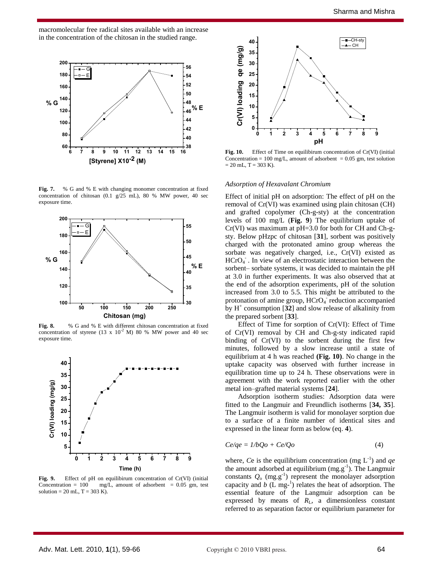macromolecular free radical sites available with an increase in the concentration of the chitosan in the studied range.



**Fig. 7.** % G and % E with changing monomer concentration at fixed concentration of chitosan (0.1 g/25 mL), 80 % MW power, 40 sec exposure time.



Fig. 8. % G and % E with different chitosan concentration at fixed concentration of styrene (13 x  $10^{-2}$  M) 80 % MW power and 40 sec exposure time.



**Fig. 9.** Effect of pH on equilibirum concentration of Cr(VI) (initial Concentration = 100 mg/L, amount of adsorbent =  $0.05$  gm, test solution = 20 mL,  $T = 303$  K).



**Fig. 10.** Effect of Time on equilibirum concentration of Cr(VI) (initial Concentration = 100 mg/L, amount of adsorbent =  $0.05$  gm, test solution  $= 20$  mL, T = 303 K).

#### *Adsorption of Hexavalant Chromium*

**% E** sorbent– sorbate systems, it was decided to maintain the pH Effect of initial pH on adsorption: The effect of pH on the removal of Cr(VI) was examined using plain chitosan (CH) and grafted copolymer (Ch-g-sty) at the concentration levels of 100 mg/L (**Fig. 9**) The equilibrium uptake of Cr(VI) was maximum at pH=3.0 for both for CH and Ch-gsty. Below pHzpc of chitosan [**31**], sorbent was positively charged with the protonated amino group whereas the sorbate was negatively charged, i.e., Cr(VI) existed as HCrO<sub>4</sub>. In view of an electrostatic interaction between the at 3.0 in further experiments. It was also observed that at the end of the adsorption experiments, pH of the solution increased from 3.0 to 5.5. This might be attributed to the protonation of amine group, HCrO<sub>4</sub> reduction accompanied by  $H^+$  consumption  $\overline{32}$  and slow release of alkalinity from the prepared sorbent [**33**].

> Effect of Time for sorption of Cr(VI): Effect of Time of Cr(VI) removal by CH and Ch-g-sty indicated rapid binding of Cr(VI) to the sorbent during the first few minutes, followed by a slow increase until a state of equilibrium at 4 h was reached **(Fig. 10)**. No change in the uptake capacity was observed with further increase in equilibration time up to 24 h. These observations were in agreement with the work reported earlier with the other metal ion–grafted material systems [**24**].

> Adsorption isotherm studies: Adsorption data were fitted to the Langmuir and Freundlich isotherms [**34, 35**]. The Langmuir isotherm is valid for monolayer sorption due to a surface of a finite number of identical sites and expressed in the linear form as below (eq. **4**).

$$
Ce/qe = 1/bQo + Ce/Qo \tag{4}
$$

where, *C*e is the equilibrium concentration (mg  $L^{-1}$ ) and *qe* the amount adsorbed at equilibrium  $(mg.g^{-1})$ . The Langmuir constants  $Q_0$  (mg.g<sup>-1</sup>) represent the monolayer adsorption capacity and  $b$  ( $L$  mg<sup>-1</sup>) relates the heat of adsorption. The essential feature of the Langmuir adsorption can be expressed by means of  $R_{\text{L}}$ , a dimensionless constant referred to as separation factor or equilibrium parameter for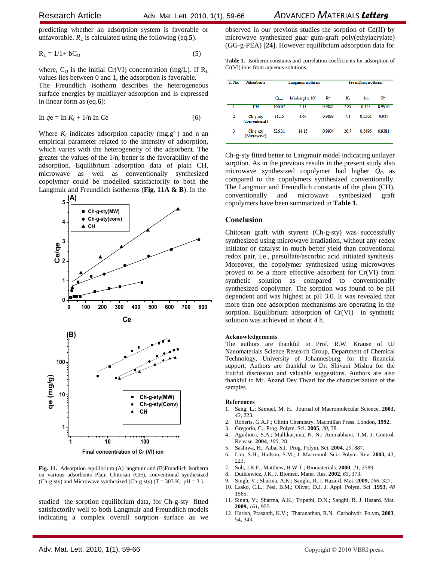predicting whether an adsorption system is favorable or unfavorable.  $R_L$  is calculated using the following (eq.5).

$$
R_{L} = 1/1 + bC_{O}
$$
 (5)

where,  $C_0$  is the initial Cr(VI) concentration (mg/L). If  $R_L$ values lies between 0 and 1, the adsorption is favorable. The Freundlich isotherm describes the heterogeneous surface energies by multilayer adsorption and is expressed in linear form as (eq.**6**):

$$
\ln q e = \ln K_f + 1/n \ln C e \tag{6}
$$

Where  $K_f$  indicates adsorption capacity (mg.g<sup>-1</sup>) and n an empirical parameter related to the intensity of adsorption, which varies with the heterogeneity of the adsorbent. The greater the values of the 1/n, better is the favorability of the adsorption. Equilibrium adsorption data of plain CH, microwave as well as conventionally synthesized copolymer could be modelled satisfactorily to both the Langmuir and Freundlich isotherms (**Fig. 11A & B**). In the



**Final concentration of Cr (VI) ion** 

**Fig. 11.** Adsorption equilibrium (A) langmuir and (B)Frundlich Isotherm on various adsorbents Plain Chitosan (CH), conventional synthesized (Ch-g-sty) and Microwave synthesized (Ch-g-sty).(T = 303 K, pH = 3).

studied the sorption equilibrium data, for Ch-g-sty fitted satisfactorily well to both Langmuir and Freundlich models indicating a complex overall sorption surface as we

observed in our previous studies the sorption of Cd(II) by microwave synthesized guar gum-graft poly(ethylacrylate) (GG-g-PEA) [**24**]. However equilibrium adsorption data for

**Table 1.** Isotherm constants and correlation coefficients for adsorption of Cr(VI) ions from aqueous solutions

| S. No. | <b>Adsorbents</b>          | Langmuir isotherm |                          |                | Freundlich isotherm |        |                |
|--------|----------------------------|-------------------|--------------------------|----------------|---------------------|--------|----------------|
|        |                            | $Q_{max}$         | $b(m \mid m g) \ge 10^3$ | $\mathbb{R}^2$ | K.                  | 1/n    | $\mathbb{R}^2$ |
|        | CH                         | 166.67            | 7.13                     | 0.9827         | 7.89                | 0.453  | 0.9916         |
| 2      | Ch-g-sty<br>(conventional) | 312.5             | 4.67                     | 0.9833         | 7.1                 | 0.5502 | 0.987          |
| 3      | Ch-g-sty<br>(Microwave)    | 526.31            | 14.15                    | 0.9934         | 20.7                | 0.5496 | 0.9381         |

Ch-g-sty fitted better to Langmuir model indicating unilayer sorption. As in the previous results in the present study also microwave synthesized copolymer had higher  $Q_0$  as compared to the copolymers synthesized conventionally. The Langmuir and Freundlich constants of the plain (CH), conventionally and microwave synthesized graft copolymers have been summarized in **Table 1.**

#### **Conclusion**

Chitosan graft with styrene (Ch-g-sty) was successfully synthesized using microwave irradiation, without any redox initiator or catalyst in much better yield than conventional redox pair, i.e., persulfate/ascorbic acid initiated synthesis. Moreover, the copolymer synthesized using microwaves proved to be a more effective adsorbent for Cr(VI) from synthetic solution as compared to conventionally synthesized copolymer. The sorption was found to be pH dependent and was highest at pH 3.0. It was revealed that more than one adsorption mechanisms are operating in the sorption. Equilibrium adsorption of Cr(VI) in synthetic solution was achieved in about 4 h.

#### **Acknowledgements**

The authors are thankful to Prof. R.W. Krause of UJ Nanomaterials Science Research Group, Department of Chemical Technology, University of Johannesburg, for the financial support. Authors are thankful to Dr. Shivani Mishra for the fruitful discussion and valuable suggestions. Authors are also thankful to Mr. Anand Dev Tiwari for the characterization of the samples.

#### **References**

- 1. Sang, L.; Samuel, M. H. Journal of Macromolecular Science. **2003,** *43*, 223.
- 2. Roberts, G.A.F.; Chitin Chemistry, Macmillan Press, London, **1992.**
- 3. Gregorio, C.; Prog. Polym. Sci. **2005**, *30*, 38.
- 4. Agnihotri, S.A.; Mallikarjuna, N. N.; Aminabhavi, T.M. J. Control. Release. **2004**, *100*, 28.
- 5. Sashiwa, H.; Aiba, S.I. Prog. Polym. Sci. **2004**, *29*, 887.
- 6. Lim, S.H.; Hudson, S.M.; J. Macromol. Sci.: Polym. Rev. **2003,** 43,  $223$
- 7. Suh, J.K.F.; Matthew, H.W.T.; Biomaterials. **2000**, *21*, 2589.
- 8. Dutkiewicz, J.K. J. Biomed. Mater. Res. **2002**, *63*, 373.
- 9. Singh, V.; Sharma, A.K.; Sanghi, R. J. Hazard. Mat. **2009,** *166*, 327. 10. Lasko, C.L.; Pesi, B.M.; Oliver, D.J. J. Appl. Polym. Sci .**1993**, *48* 1565.
- 11. Singh, V.; Sharma, A.K.; Tripathi, D.N.; Sanghi, R. J. Hazard. Mat. **2009,** *161***,** 955.
- 12. Harish, Prasanth, K.V.; Tharanathan, R.N. Carbohydr. Polym, **2003**, 54, 343.